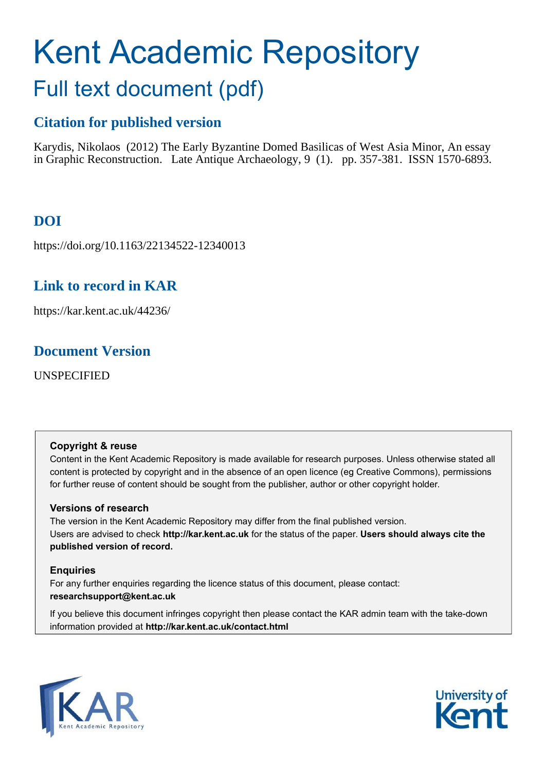# Kent Academic Repository Full text document (pdf)

# **Citation for published version**

Karydis, Nikolaos (2012) The Early Byzantine Domed Basilicas of West Asia Minor, An essay in Graphic Reconstruction. Late Antique Archaeology, 9 (1). pp. 357-381. ISSN 1570-6893.

# **DOI**

https://doi.org/10.1163/22134522-12340013

# **Link to record in KAR**

https://kar.kent.ac.uk/44236/

# **Document Version**

UNSPECIFIED

## **Copyright & reuse**

Content in the Kent Academic Repository is made available for research purposes. Unless otherwise stated all content is protected by copyright and in the absence of an open licence (eg Creative Commons), permissions for further reuse of content should be sought from the publisher, author or other copyright holder.

## **Versions of research**

The version in the Kent Academic Repository may differ from the final published version. Users are advised to check **http://kar.kent.ac.uk** for the status of the paper. **Users should always cite the published version of record.**

## **Enquiries**

For any further enquiries regarding the licence status of this document, please contact: **researchsupport@kent.ac.uk**

If you believe this document infringes copyright then please contact the KAR admin team with the take-down information provided at **http://kar.kent.ac.uk/contact.html**



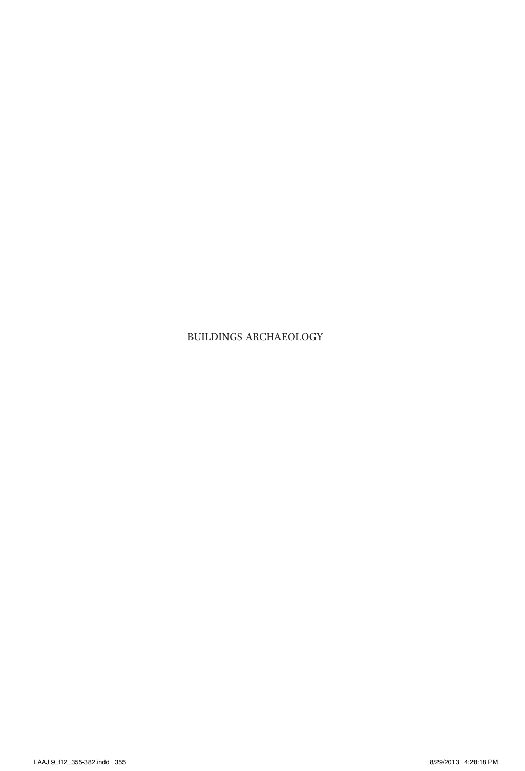## BUILDINGS ARCHAEOLOGY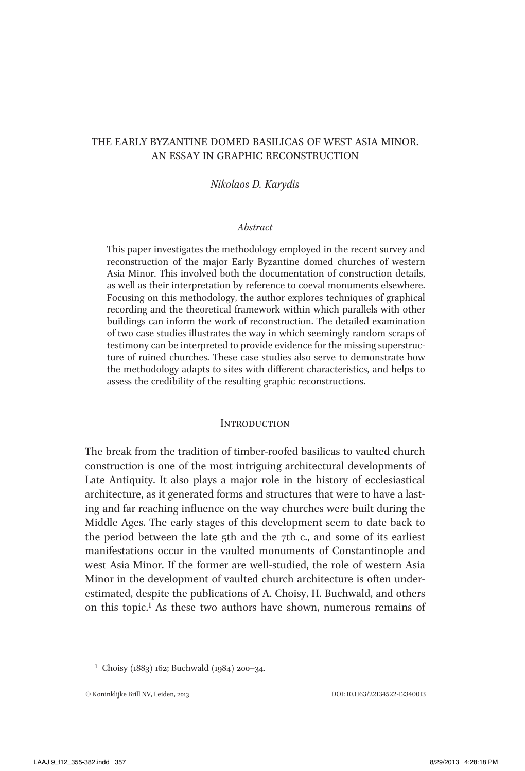## THE EARLY BYZANTINE DOMED BASILICAS OF WEST ASIA MINOR. AN ESSAY IN GRAPHIC RECONSTRUCTION

*Nikolaos D. Karydis*

#### *Abstract*

This paper investigates the methodology employed in the recent survey and reconstruction of the major Early Byzantine domed churches of western Asia Minor. This involved both the documentation of construction details, as well as their interpretation by reference to coeval monuments elsewhere. Focusing on this methodology, the author explores techniques of graphical recording and the theoretical framework within which parallels with other buildings can inform the work of reconstruction. The detailed examination of two case studies illustrates the way in which seemingly random scraps of testimony can be interpreted to provide evidence for the missing superstructure of ruined churches. These case studies also serve to demonstrate how the methodology adapts to sites with different characteristics, and helps to assess the credibility of the resulting graphic reconstructions.

#### **INTRODUCTION**

The break from the tradition of timber-roofed basilicas to vaulted church construction is one of the most intriguing architectural developments of Late Antiquity. It also plays a major role in the history of ecclesiastical architecture, as it generated forms and structures that were to have a lasting and far reaching influence on the way churches were built during the Middle Ages. The early stages of this development seem to date back to the period between the late 5th and the 7th c., and some of its earliest manifestations occur in the vaulted monuments of Constantinople and west Asia Minor. If the former are well-studied, the role of western Asia Minor in the development of vaulted church architecture is often underestimated, despite the publications of A. Choisy, H. Buchwald, and others on this topic.1 As these two authors have shown, numerous remains of

<sup>1</sup> Choisy (1883) 162; Buchwald (1984) 200–34.

<sup>©</sup> Koninklijke Brill NV, Leiden, 2013 DOI: 10.1163/22134522-12340013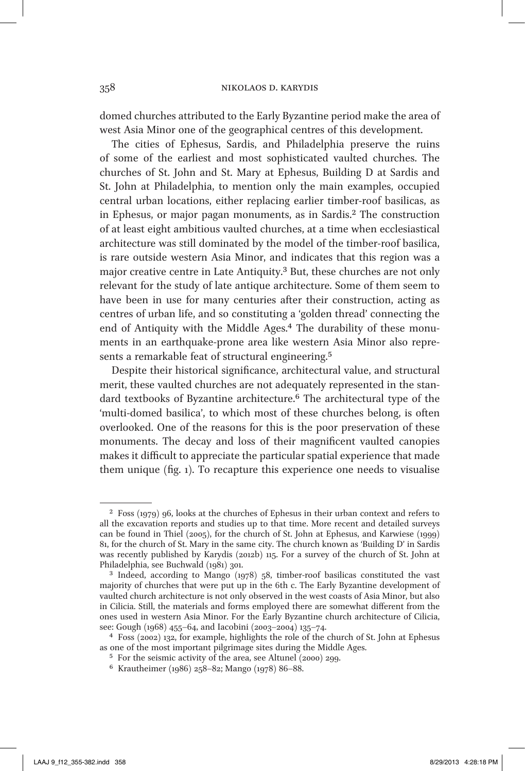domed churches attributed to the Early Byzantine period make the area of west Asia Minor one of the geographical centres of this development.

The cities of Ephesus, Sardis, and Philadelphia preserve the ruins of some of the earliest and most sophisticated vaulted churches. The churches of St. John and St. Mary at Ephesus, Building D at Sardis and St. John at Philadelphia, to mention only the main examples, occupied central urban locations, either replacing earlier timber-roof basilicas, as in Ephesus, or major pagan monuments, as in Sardis.2 The construction of at least eight ambitious vaulted churches, at a time when ecclesiastical architecture was still dominated by the model of the timber-roof basilica, is rare outside western Asia Minor, and indicates that this region was a major creative centre in Late Antiquity.3 But, these churches are not only relevant for the study of late antique architecture. Some of them seem to have been in use for many centuries after their construction, acting as centres of urban life, and so constituting a 'golden thread' connecting the end of Antiquity with the Middle Ages.<sup>4</sup> The durability of these monuments in an earthquake-prone area like western Asia Minor also represents a remarkable feat of structural engineering.<sup>5</sup>

Despite their historical significance, architectural value, and structural merit, these vaulted churches are not adequately represented in the standard textbooks of Byzantine architecture.<sup>6</sup> The architectural type of the 'multi-domed basilica', to which most of these churches belong, is often overlooked. One of the reasons for this is the poor preservation of these monuments. The decay and loss of their magnificent vaulted canopies makes it difficult to appreciate the particular spatial experience that made them unique (fig. 1). To recapture this experience one needs to visualise

<sup>2</sup> Foss (1979) 96, looks at the churches of Ephesus in their urban context and refers to all the excavation reports and studies up to that time. More recent and detailed surveys can be found in Thiel (2005), for the church of St. John at Ephesus, and Karwiese (1999) 81, for the church of St. Mary in the same city. The church known as 'Building D' in Sardis was recently published by Karydis (2012b) 115. For a survey of the church of St. John at Philadelphia, see Buchwald (1981) 301.

<sup>3</sup> Indeed, according to Mango (1978) 58, timber-roof basilicas constituted the vast majority of churches that were put up in the 6th c. The Early Byzantine development of vaulted church architecture is not only observed in the west coasts of Asia Minor, but also in Cilicia. Still, the materials and forms employed there are somewhat different from the ones used in western Asia Minor. For the Early Byzantine church architecture of Cilicia, see: Gough (1968) 455–64, and Iacobini (2003–2004) 135–74.

<sup>4</sup> Foss (2002) 132, for example, highlights the role of the church of St. John at Ephesus as one of the most important pilgrimage sites during the Middle Ages.

<sup>5</sup> For the seismic activity of the area, see Altunel (2000) 299.

<sup>6</sup> Krautheimer (1986) 258–82; Mango (1978) 86–88.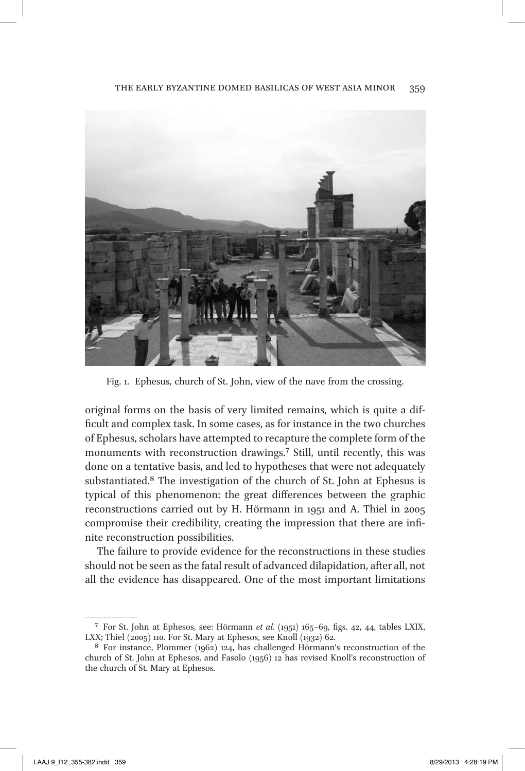

Fig. 1. Ephesus, church of St. John, view of the nave from the crossing.

original forms on the basis of very limited remains, which is quite a difficult and complex task. In some cases, as for instance in the two churches of Ephesus, scholars have attempted to recapture the complete form of the monuments with reconstruction drawings.7 Still, until recently, this was done on a tentative basis, and led to hypotheses that were not adequately substantiated.8 The investigation of the church of St. John at Ephesus is typical of this phenomenon: the great differences between the graphic reconstructions carried out by H. Hörmann in 1951 and A. Thiel in 2005 compromise their credibility, creating the impression that there are infinite reconstruction possibilities.

The failure to provide evidence for the reconstructions in these studies should not be seen as the fatal result of advanced dilapidation, after all, not all the evidence has disappeared. One of the most important limitations

<sup>7</sup> For St. John at Ephesos, see: Hörmann *et al.* (1951) 165–69, figs. 42, 44, tables LXIX, LXX; Thiel (2005) 110. For St. Mary at Ephesos, see Knoll (1932) 62.

<sup>8</sup> For instance, Plommer (1962) 124, has challenged Hörmann's reconstruction of the church of St. John at Ephesos, and Fasolo (1956) 12 has revised Knoll's reconstruction of the church of St. Mary at Ephesos.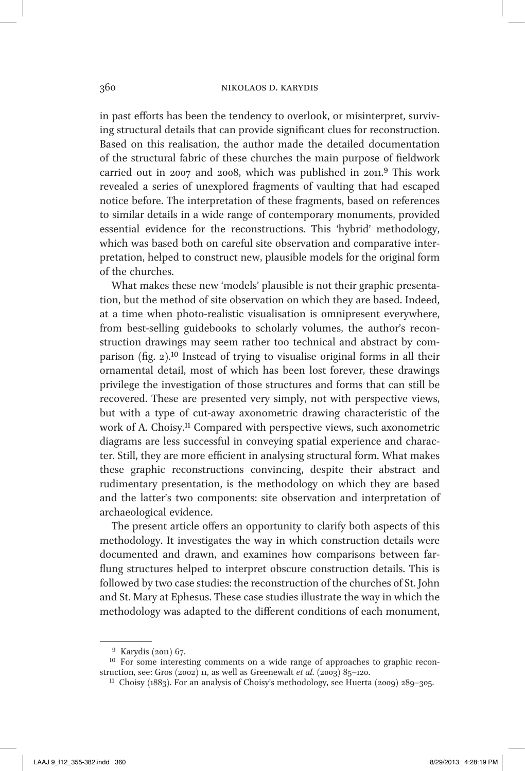in past efforts has been the tendency to overlook, or misinterpret, surviving structural details that can provide significant clues for reconstruction. Based on this realisation, the author made the detailed documentation of the structural fabric of these churches the main purpose of fieldwork carried out in 2007 and 2008, which was published in 2011.9 This work revealed a series of unexplored fragments of vaulting that had escaped notice before. The interpretation of these fragments, based on references to similar details in a wide range of contemporary monuments, provided essential evidence for the reconstructions. This 'hybrid' methodology, which was based both on careful site observation and comparative interpretation, helped to construct new, plausible models for the original form of the churches.

What makes these new 'models' plausible is not their graphic presentation, but the method of site observation on which they are based. Indeed, at a time when photo-realistic visualisation is omnipresent everywhere, from best-selling guidebooks to scholarly volumes, the author's reconstruction drawings may seem rather too technical and abstract by comparison (fig. 2).10 Instead of trying to visualise original forms in all their ornamental detail, most of which has been lost forever, these drawings privilege the investigation of those structures and forms that can still be recovered. These are presented very simply, not with perspective views, but with a type of cut-away axonometric drawing characteristic of the work of A. Choisy.<sup>11</sup> Compared with perspective views, such axonometric diagrams are less successful in conveying spatial experience and character. Still, they are more efficient in analysing structural form. What makes these graphic reconstructions convincing, despite their abstract and rudimentary presentation, is the methodology on which they are based and the latter's two components: site observation and interpretation of archaeological evidence.

The present article offers an opportunity to clarify both aspects of this methodology. It investigates the way in which construction details were documented and drawn, and examines how comparisons between farflung structures helped to interpret obscure construction details. This is followed by two case studies: the reconstruction of the churches of St. John and St. Mary at Ephesus. These case studies illustrate the way in which the methodology was adapted to the different conditions of each monument,

<sup>9</sup> Karydis (2011) 67.

<sup>&</sup>lt;sup>10</sup> For some interesting comments on a wide range of approaches to graphic reconstruction, see: Gros (2002) 11, as well as Greenewalt *et al*. (2003) 85–120.

<sup>&</sup>lt;sup>11</sup> Choisy (1883). For an analysis of Choisy's methodology, see Huerta (2009) 289–305.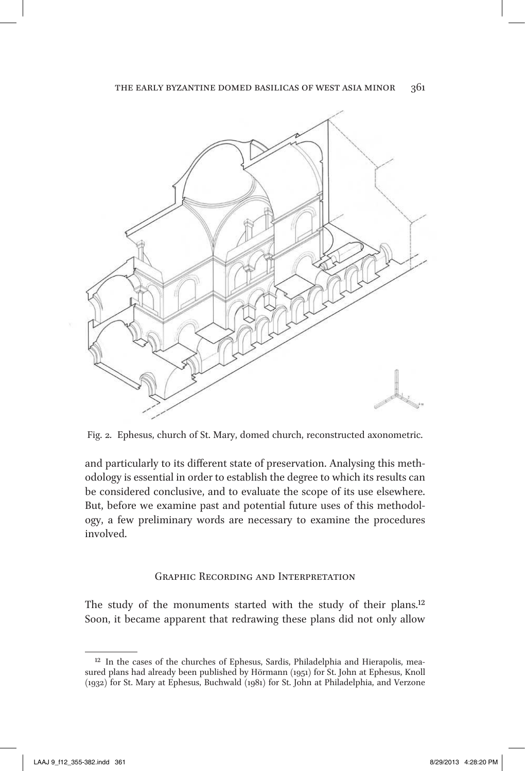

Fig. 2. Ephesus, church of St. Mary, domed church, reconstructed axonometric.

and particularly to its different state of preservation. Analysing this methodology is essential in order to establish the degree to which its results can be considered conclusive, and to evaluate the scope of its use elsewhere. But, before we examine past and potential future uses of this methodology, a few preliminary words are necessary to examine the procedures involved.

#### Graphic Recording and Interpretation

The study of the monuments started with the study of their plans.<sup>12</sup> Soon, it became apparent that redrawing these plans did not only allow

<sup>12</sup> In the cases of the churches of Ephesus, Sardis, Philadelphia and Hierapolis, measured plans had already been published by Hörmann (1951) for St. John at Ephesus, Knoll (1932) for St. Mary at Ephesus, Buchwald (1981) for St. John at Philadelphia, and Verzone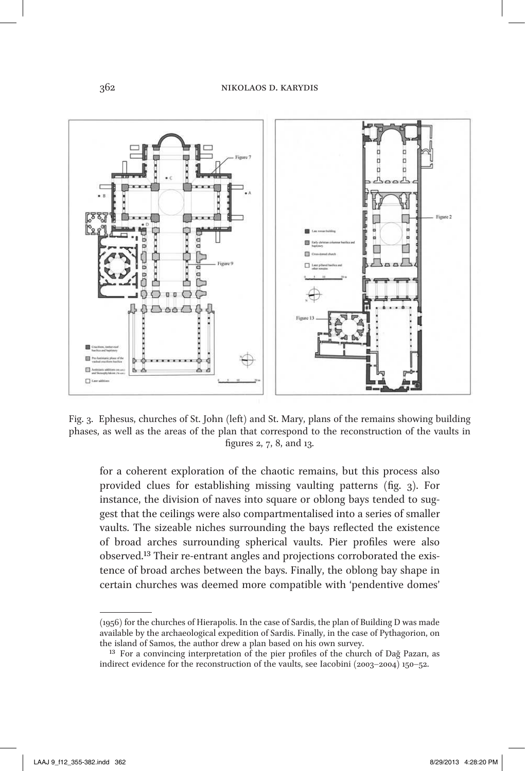

Fig. 3. Ephesus, churches of St. John (left) and St. Mary, plans of the remains showing building phases, as well as the areas of the plan that correspond to the reconstruction of the vaults in figures 2, 7, 8, and 13.

for a coherent exploration of the chaotic remains, but this process also provided clues for establishing missing vaulting patterns (fig. 3). For instance, the division of naves into square or oblong bays tended to suggest that the ceilings were also compartmentalised into a series of smaller vaults. The sizeable niches surrounding the bays reflected the existence of broad arches surrounding spherical vaults. Pier profiles were also observed.13 Their re-entrant angles and projections corroborated the existence of broad arches between the bays. Finally, the oblong bay shape in certain churches was deemed more compatible with 'pendentive domes'

<sup>(1956)</sup> for the churches of Hierapolis. In the case of Sardis, the plan of Building D was made available by the archaeological expedition of Sardis. Finally, in the case of Pythagorion, on the island of Samos, the author drew a plan based on his own survey.

<sup>&</sup>lt;sup>13</sup> For a convincing interpretation of the pier profiles of the church of Dağ Pazarı, as indirect evidence for the reconstruction of the vaults, see Iacobini  $(2003-2004)$  150–52.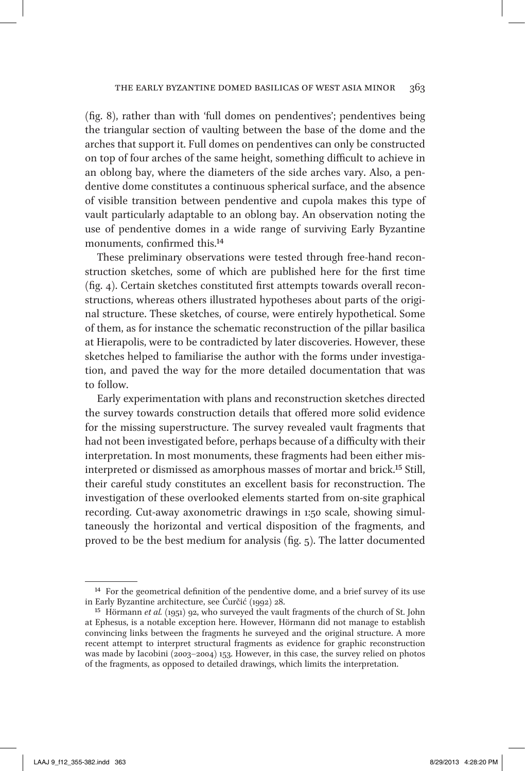(fig. 8), rather than with 'full domes on pendentives'; pendentives being the triangular section of vaulting between the base of the dome and the arches that support it. Full domes on pendentives can only be constructed on top of four arches of the same height, something difficult to achieve in an oblong bay, where the diameters of the side arches vary. Also, a pendentive dome constitutes a continuous spherical surface, and the absence of visible transition between pendentive and cupola makes this type of vault particularly adaptable to an oblong bay. An observation noting the use of pendentive domes in a wide range of surviving Early Byzantine monuments, confirmed this.14

These preliminary observations were tested through free-hand reconstruction sketches, some of which are published here for the first time (fig. 4). Certain sketches constituted first attempts towards overall reconstructions, whereas others illustrated hypotheses about parts of the original structure. These sketches, of course, were entirely hypothetical. Some of them, as for instance the schematic reconstruction of the pillar basilica at Hierapolis, were to be contradicted by later discoveries. However, these sketches helped to familiarise the author with the forms under investigation, and paved the way for the more detailed documentation that was to follow.

Early experimentation with plans and reconstruction sketches directed the survey towards construction details that offered more solid evidence for the missing superstructure. The survey revealed vault fragments that had not been investigated before, perhaps because of a difficulty with their interpretation. In most monuments, these fragments had been either misinterpreted or dismissed as amorphous masses of mortar and brick.15 Still, their careful study constitutes an excellent basis for reconstruction. The investigation of these overlooked elements started from on-site graphical recording. Cut-away axonometric drawings in 1:50 scale, showing simultaneously the horizontal and vertical disposition of the fragments, and proved to be the best medium for analysis (fig. 5). The latter documented

<sup>&</sup>lt;sup>14</sup> For the geometrical definition of the pendentive dome, and a brief survey of its use in Early Byzantine architecture, see Ćurčić (1992) 28.

<sup>&</sup>lt;sup>15</sup> Hörmann *et al.* (1951) 92, who surveyed the vault fragments of the church of St. John at Ephesus, is a notable exception here. However, Hörmann did not manage to establish convincing links between the fragments he surveyed and the original structure. A more recent attempt to interpret structural fragments as evidence for graphic reconstruction was made by Iacobini (2003–2004) 153. However, in this case, the survey relied on photos of the fragments, as opposed to detailed drawings, which limits the interpretation.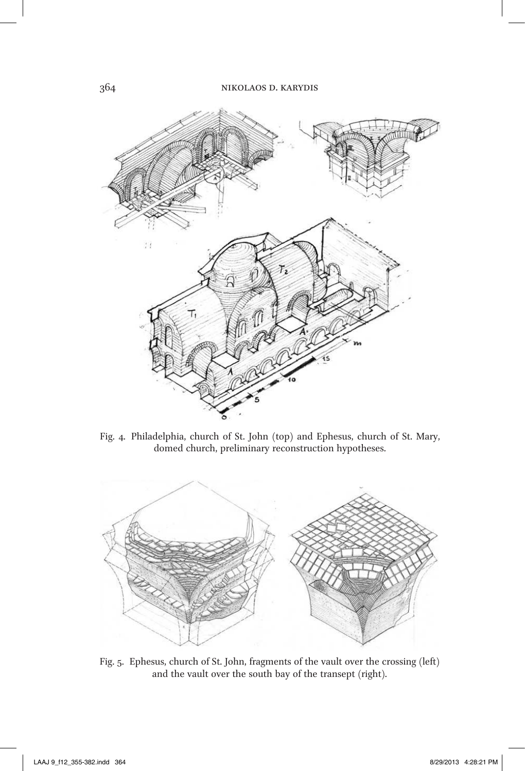

Fig. 4. Philadelphia, church of St. John (top) and Ephesus, church of St. Mary, domed church, preliminary reconstruction hypotheses.



Fig. 5. Ephesus, church of St. John, fragments of the vault over the crossing (left) and the vault over the south bay of the transept (right).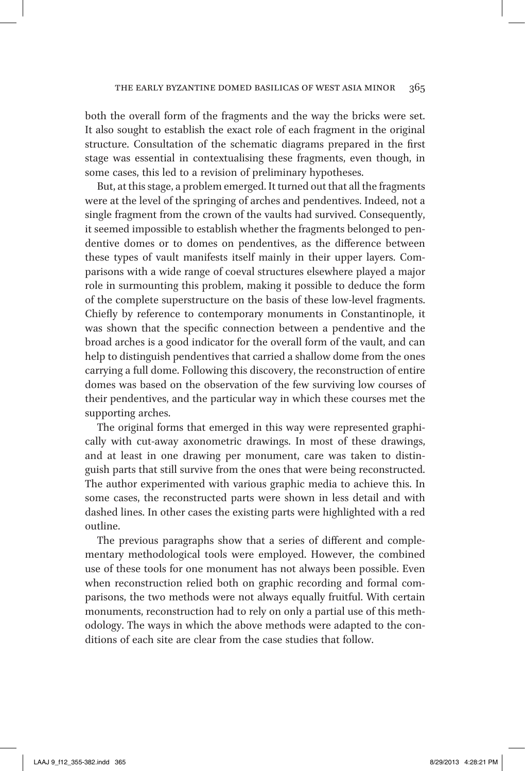both the overall form of the fragments and the way the bricks were set. It also sought to establish the exact role of each fragment in the original structure. Consultation of the schematic diagrams prepared in the first stage was essential in contextualising these fragments, even though, in some cases, this led to a revision of preliminary hypotheses.

But, at this stage, a problem emerged. It turned out that all the fragments were at the level of the springing of arches and pendentives. Indeed, not a single fragment from the crown of the vaults had survived. Consequently, it seemed impossible to establish whether the fragments belonged to pendentive domes or to domes on pendentives, as the difference between these types of vault manifests itself mainly in their upper layers. Comparisons with a wide range of coeval structures elsewhere played a major role in surmounting this problem, making it possible to deduce the form of the complete superstructure on the basis of these low-level fragments. Chiefly by reference to contemporary monuments in Constantinople, it was shown that the specific connection between a pendentive and the broad arches is a good indicator for the overall form of the vault, and can help to distinguish pendentives that carried a shallow dome from the ones carrying a full dome. Following this discovery, the reconstruction of entire domes was based on the observation of the few surviving low courses of their pendentives, and the particular way in which these courses met the supporting arches.

The original forms that emerged in this way were represented graphically with cut-away axonometric drawings. In most of these drawings, and at least in one drawing per monument, care was taken to distinguish parts that still survive from the ones that were being reconstructed. The author experimented with various graphic media to achieve this. In some cases, the reconstructed parts were shown in less detail and with dashed lines. In other cases the existing parts were highlighted with a red outline.

The previous paragraphs show that a series of different and complementary methodological tools were employed. However, the combined use of these tools for one monument has not always been possible. Even when reconstruction relied both on graphic recording and formal comparisons, the two methods were not always equally fruitful. With certain monuments, reconstruction had to rely on only a partial use of this methodology. The ways in which the above methods were adapted to the conditions of each site are clear from the case studies that follow.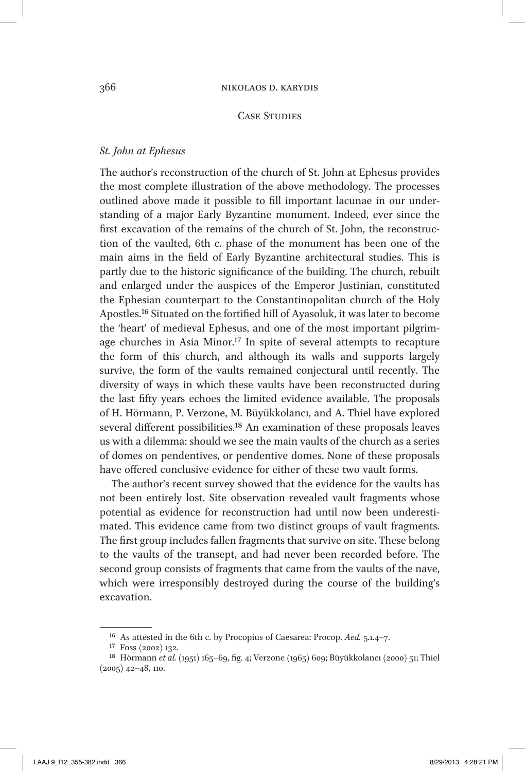#### **CASE STUDIES**

#### *St. John at Ephesus*

The author's reconstruction of the church of St. John at Ephesus provides the most complete illustration of the above methodology. The processes outlined above made it possible to fill important lacunae in our understanding of a major Early Byzantine monument. Indeed, ever since the first excavation of the remains of the church of St. John, the reconstruction of the vaulted, 6th c. phase of the monument has been one of the main aims in the field of Early Byzantine architectural studies. This is partly due to the historic significance of the building. The church, rebuilt and enlarged under the auspices of the Emperor Justinian, constituted the Ephesian counterpart to the Constantinopolitan church of the Holy Apostles.16 Situated on the fortified hill of Ayasoluk, it was later to become the 'heart' of medieval Ephesus, and one of the most important pilgrimage churches in Asia Minor.17 In spite of several attempts to recapture the form of this church, and although its walls and supports largely survive, the form of the vaults remained conjectural until recently. The diversity of ways in which these vaults have been reconstructed during the last fifty years echoes the limited evidence available. The proposals of H. Hörmann, P. Verzone, M. Büyükkolancı, and A. Thiel have explored several different possibilities.18 An examination of these proposals leaves us with a dilemma: should we see the main vaults of the church as a series of domes on pendentives, or pendentive domes. None of these proposals have offered conclusive evidence for either of these two vault forms.

The author's recent survey showed that the evidence for the vaults has not been entirely lost. Site observation revealed vault fragments whose potential as evidence for reconstruction had until now been underestimated. This evidence came from two distinct groups of vault fragments. The first group includes fallen fragments that survive on site. These belong to the vaults of the transept, and had never been recorded before. The second group consists of fragments that came from the vaults of the nave, which were irresponsibly destroyed during the course of the building's excavation.

<sup>16</sup> As attested in the 6th c. by Procopius of Caesarea: Procop. *Aed.* 5.1.4–7.

<sup>17</sup> Foss (2002) 132.

<sup>18</sup> Hörmann *et al.* (1951) 165–69, fig. 4; Verzone (1965) 609; Büyükkolancı (2000) 51; Thiel  $(2005)$  42-48, 110.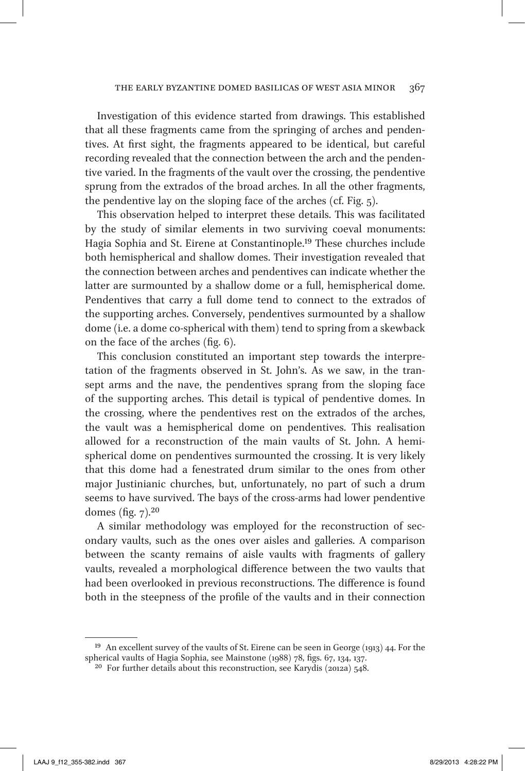Investigation of this evidence started from drawings. This established that all these fragments came from the springing of arches and pendentives. At first sight, the fragments appeared to be identical, but careful recording revealed that the connection between the arch and the pendentive varied. In the fragments of the vault over the crossing, the pendentive sprung from the extrados of the broad arches. In all the other fragments, the pendentive lay on the sloping face of the arches (cf. Fig. 5).

This observation helped to interpret these details. This was facilitated by the study of similar elements in two surviving coeval monuments: Hagia Sophia and St. Eirene at Constantinople.19 These churches include both hemispherical and shallow domes. Their investigation revealed that the connection between arches and pendentives can indicate whether the latter are surmounted by a shallow dome or a full, hemispherical dome. Pendentives that carry a full dome tend to connect to the extrados of the supporting arches. Conversely, pendentives surmounted by a shallow dome (i.e. a dome co-spherical with them) tend to spring from a skewback on the face of the arches (fig. 6).

This conclusion constituted an important step towards the interpretation of the fragments observed in St. John's. As we saw, in the transept arms and the nave, the pendentives sprang from the sloping face of the supporting arches. This detail is typical of pendentive domes. In the crossing, where the pendentives rest on the extrados of the arches, the vault was a hemispherical dome on pendentives. This realisation allowed for a reconstruction of the main vaults of St. John. A hemispherical dome on pendentives surmounted the crossing. It is very likely that this dome had a fenestrated drum similar to the ones from other major Justinianic churches, but, unfortunately, no part of such a drum seems to have survived. The bays of the cross-arms had lower pendentive domes (fig.  $7$ ).<sup>20</sup>

A similar methodology was employed for the reconstruction of secondary vaults, such as the ones over aisles and galleries. A comparison between the scanty remains of aisle vaults with fragments of gallery vaults, revealed a morphological difference between the two vaults that had been overlooked in previous reconstructions. The difference is found both in the steepness of the profile of the vaults and in their connection

<sup>19</sup> An excellent survey of the vaults of St. Eirene can be seen in George (1913) 44. For the spherical vaults of Hagia Sophia, see Mainstone (1988) 78, figs. 67, 134, 137.

<sup>20</sup> For further details about this reconstruction, see Karydis (2012a) 548.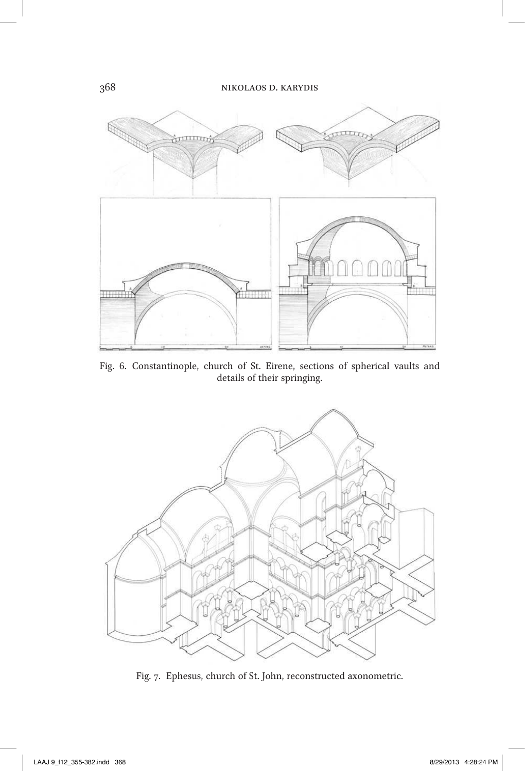

Fig. 6. Constantinople, church of St. Eirene, sections of spherical vaults and details of their springing.



Fig. 7. Ephesus, church of St. John, reconstructed axonometric.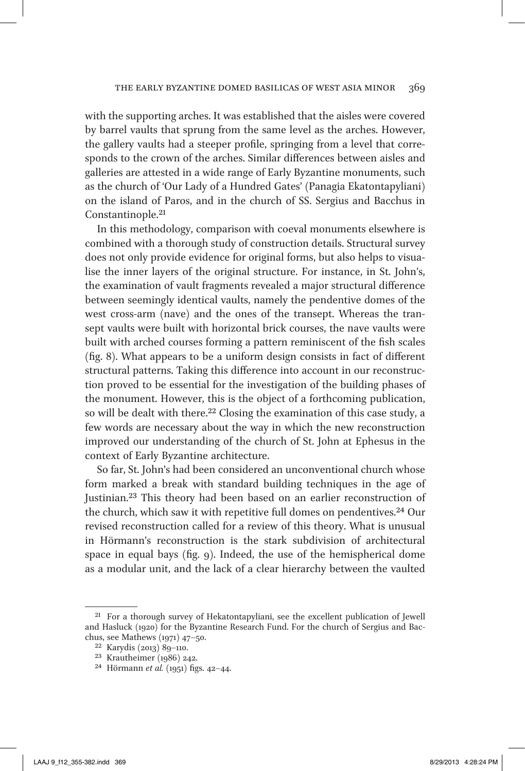with the supporting arches. It was established that the aisles were covered by barrel vaults that sprung from the same level as the arches. However, the gallery vaults had a steeper profile, springing from a level that corresponds to the crown of the arches. Similar differences between aisles and galleries are attested in a wide range of Early Byzantine monuments, such as the church of 'Our Lady of a Hundred Gates' (Panagia Ekatontapyliani) on the island of Paros, and in the church of SS. Sergius and Bacchus in Constantinople.21

In this methodology, comparison with coeval monuments elsewhere is combined with a thorough study of construction details. Structural survey does not only provide evidence for original forms, but also helps to visualise the inner layers of the original structure. For instance, in St. John's, the examination of vault fragments revealed a major structural difference between seemingly identical vaults, namely the pendentive domes of the west cross-arm (nave) and the ones of the transept. Whereas the transept vaults were built with horizontal brick courses, the nave vaults were built with arched courses forming a pattern reminiscent of the fish scales (fig. 8). What appears to be a uniform design consists in fact of different structural patterns. Taking this difference into account in our reconstruction proved to be essential for the investigation of the building phases of the monument. However, this is the object of a forthcoming publication, so will be dealt with there.<sup>22</sup> Closing the examination of this case study, a few words are necessary about the way in which the new reconstruction improved our understanding of the church of St. John at Ephesus in the context of Early Byzantine architecture.

So far, St. John's had been considered an unconventional church whose form marked a break with standard building techniques in the age of Justinian.23 This theory had been based on an earlier reconstruction of the church, which saw it with repetitive full domes on pendentives.24 Our revised reconstruction called for a review of this theory. What is unusual in Hörmann's reconstruction is the stark subdivision of architectural space in equal bays (fig. 9). Indeed, the use of the hemispherical dome as a modular unit, and the lack of a clear hierarchy between the vaulted

<sup>21</sup> For a thorough survey of Hekatontapyliani, see the excellent publication of Jewell and Hasluck (1920) for the Byzantine Research Fund. For the church of Sergius and Bacchus, see Mathews (1971) 47–50.

<sup>22</sup> Karydis (2013) 89–110.

<sup>23</sup> Krautheimer (1986) 242.

<sup>24</sup> Hörmann *et al.* (1951) figs. 42–44.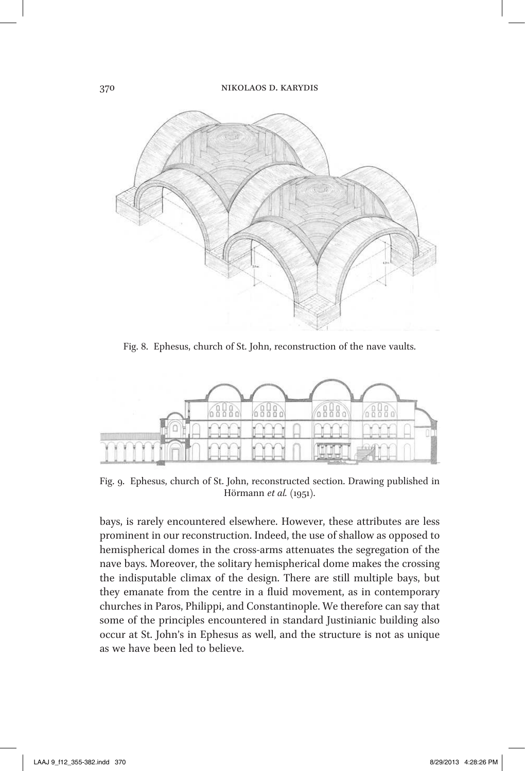

Fig. 8. Ephesus, church of St. John, reconstruction of the nave vaults.



Fig. 9. Ephesus, church of St. John, reconstructed section. Drawing published in Hörmann *et al.* (1951).

bays, is rarely encountered elsewhere. However, these attributes are less prominent in our reconstruction. Indeed, the use of shallow as opposed to hemispherical domes in the cross-arms attenuates the segregation of the nave bays. Moreover, the solitary hemispherical dome makes the crossing the indisputable climax of the design. There are still multiple bays, but they emanate from the centre in a fluid movement, as in contemporary churches in Paros, Philippi, and Constantinople. We therefore can say that some of the principles encountered in standard Justinianic building also occur at St. John's in Ephesus as well, and the structure is not as unique as we have been led to believe.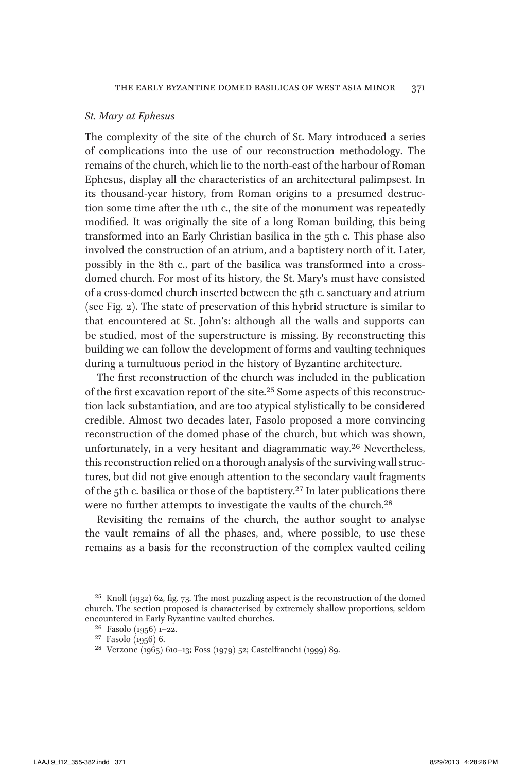#### *St. Mary at Ephesus*

The complexity of the site of the church of St. Mary introduced a series of complications into the use of our reconstruction methodology. The remains of the church, which lie to the north-east of the harbour of Roman Ephesus, display all the characteristics of an architectural palimpsest. In its thousand-year history, from Roman origins to a presumed destruction some time after the 11th c., the site of the monument was repeatedly modified. It was originally the site of a long Roman building, this being transformed into an Early Christian basilica in the 5th c. This phase also involved the construction of an atrium, and a baptistery north of it. Later, possibly in the 8th c., part of the basilica was transformed into a crossdomed church. For most of its history, the St. Mary's must have consisted of a cross-domed church inserted between the 5th c. sanctuary and atrium (see Fig. 2). The state of preservation of this hybrid structure is similar to that encountered at St. John's: although all the walls and supports can be studied, most of the superstructure is missing. By reconstructing this building we can follow the development of forms and vaulting techniques during a tumultuous period in the history of Byzantine architecture.

The first reconstruction of the church was included in the publication of the first excavation report of the site.25 Some aspects of this reconstruction lack substantiation, and are too atypical stylistically to be considered credible. Almost two decades later, Fasolo proposed a more convincing reconstruction of the domed phase of the church, but which was shown, unfortunately, in a very hesitant and diagrammatic way.<sup>26</sup> Nevertheless, this reconstruction relied on a thorough analysis of the surviving wall structures, but did not give enough attention to the secondary vault fragments of the 5th c. basilica or those of the baptistery.27 In later publications there were no further attempts to investigate the vaults of the church.28

Revisiting the remains of the church, the author sought to analyse the vault remains of all the phases, and, where possible, to use these remains as a basis for the reconstruction of the complex vaulted ceiling

<sup>25</sup> Knoll (1932) 62, fig. 73. The most puzzling aspect is the reconstruction of the domed church. The section proposed is characterised by extremely shallow proportions, seldom encountered in Early Byzantine vaulted churches.

<sup>26</sup> Fasolo (1956) 1–22.

<sup>27</sup> Fasolo (1956) 6.

<sup>28</sup> Verzone (1965) 610–13; Foss (1979) 52; Castelfranchi (1999) 89.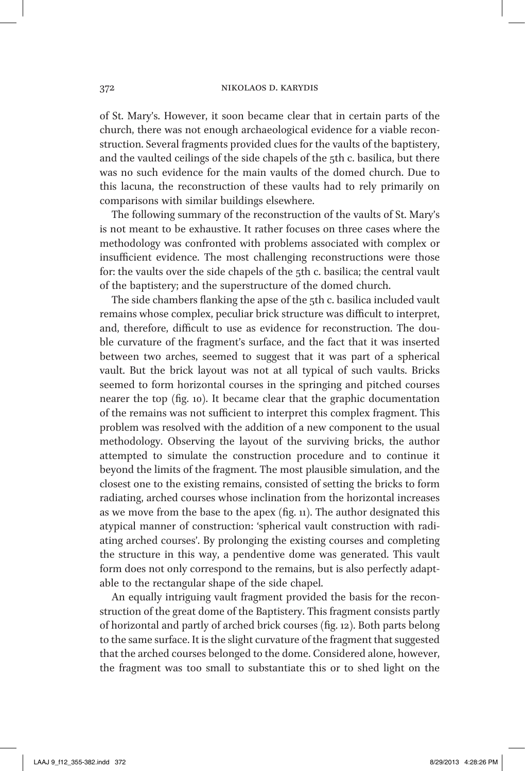of St. Mary's. However, it soon became clear that in certain parts of the church, there was not enough archaeological evidence for a viable reconstruction. Several fragments provided clues for the vaults of the baptistery, and the vaulted ceilings of the side chapels of the 5th c. basilica, but there was no such evidence for the main vaults of the domed church. Due to this lacuna, the reconstruction of these vaults had to rely primarily on comparisons with similar buildings elsewhere.

The following summary of the reconstruction of the vaults of St. Mary's is not meant to be exhaustive. It rather focuses on three cases where the methodology was confronted with problems associated with complex or insufficient evidence. The most challenging reconstructions were those for: the vaults over the side chapels of the 5th c. basilica; the central vault of the baptistery; and the superstructure of the domed church.

The side chambers flanking the apse of the 5th c. basilica included vault remains whose complex, peculiar brick structure was difficult to interpret, and, therefore, difficult to use as evidence for reconstruction. The double curvature of the fragment's surface, and the fact that it was inserted between two arches, seemed to suggest that it was part of a spherical vault. But the brick layout was not at all typical of such vaults. Bricks seemed to form horizontal courses in the springing and pitched courses nearer the top (fig. 10). It became clear that the graphic documentation of the remains was not sufficient to interpret this complex fragment. This problem was resolved with the addition of a new component to the usual methodology. Observing the layout of the surviving bricks, the author attempted to simulate the construction procedure and to continue it beyond the limits of the fragment. The most plausible simulation, and the closest one to the existing remains, consisted of setting the bricks to form radiating, arched courses whose inclination from the horizontal increases as we move from the base to the apex (fig. 11). The author designated this atypical manner of construction: 'spherical vault construction with radiating arched courses'. By prolonging the existing courses and completing the structure in this way, a pendentive dome was generated. This vault form does not only correspond to the remains, but is also perfectly adaptable to the rectangular shape of the side chapel.

An equally intriguing vault fragment provided the basis for the reconstruction of the great dome of the Baptistery. This fragment consists partly of horizontal and partly of arched brick courses (fig. 12). Both parts belong to the same surface. It is the slight curvature of the fragment that suggested that the arched courses belonged to the dome. Considered alone, however, the fragment was too small to substantiate this or to shed light on the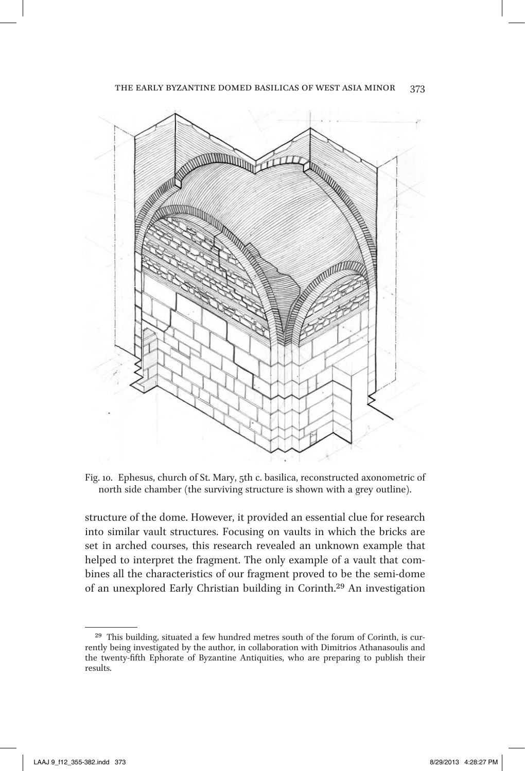

Fig. 10. Ephesus, church of St. Mary, 5th c. basilica, reconstructed axonometric of north side chamber (the surviving structure is shown with a grey outline).

structure of the dome. However, it provided an essential clue for research into similar vault structures. Focusing on vaults in which the bricks are set in arched courses, this research revealed an unknown example that helped to interpret the fragment. The only example of a vault that combines all the characteristics of our fragment proved to be the semi-dome of an unexplored Early Christian building in Corinth.29 An investigation

<sup>29</sup> This building, situated a few hundred metres south of the forum of Corinth, is currently being investigated by the author, in collaboration with Dimitrios Athanasoulis and the twenty-fifth Ephorate of Byzantine Antiquities, who are preparing to publish their results.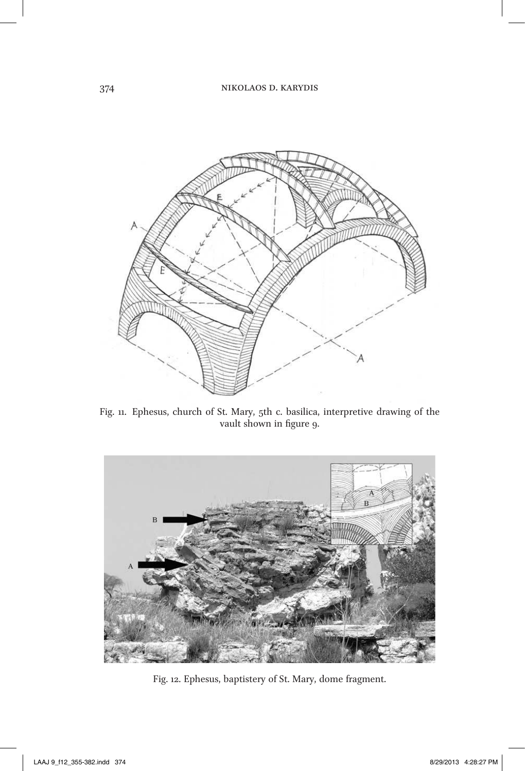

Fig. 11. Ephesus, church of St. Mary, 5th c. basilica, interpretive drawing of the vault shown in figure 9.



Fig. 12. Ephesus, baptistery of St. Mary, dome fragment.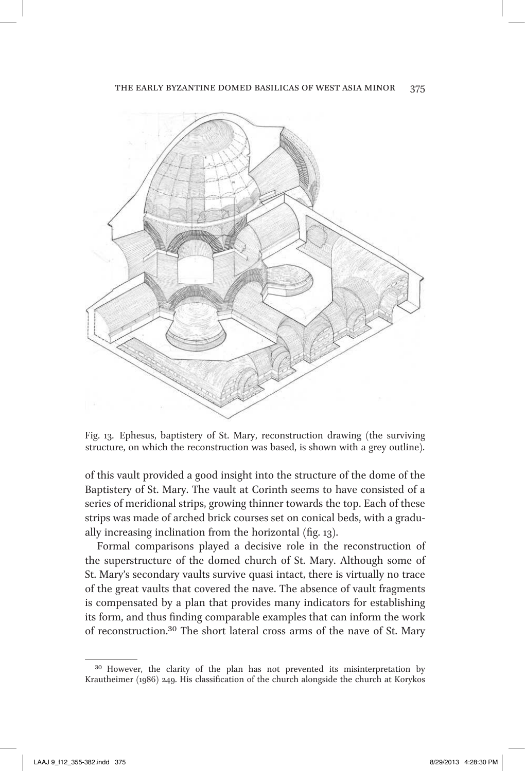

Fig. 13. Ephesus, baptistery of St. Mary, reconstruction drawing (the surviving structure, on which the reconstruction was based, is shown with a grey outline).

of this vault provided a good insight into the structure of the dome of the Baptistery of St. Mary. The vault at Corinth seems to have consisted of a series of meridional strips, growing thinner towards the top. Each of these strips was made of arched brick courses set on conical beds, with a gradually increasing inclination from the horizontal (fig. 13).

Formal comparisons played a decisive role in the reconstruction of the superstructure of the domed church of St. Mary. Although some of St. Mary's secondary vaults survive quasi intact, there is virtually no trace of the great vaults that covered the nave. The absence of vault fragments is compensated by a plan that provides many indicators for establishing its form, and thus finding comparable examples that can inform the work of reconstruction.30 The short lateral cross arms of the nave of St. Mary

<sup>30</sup> However, the clarity of the plan has not prevented its misinterpretation by Krautheimer (1986) 249. His classification of the church alongside the church at Korykos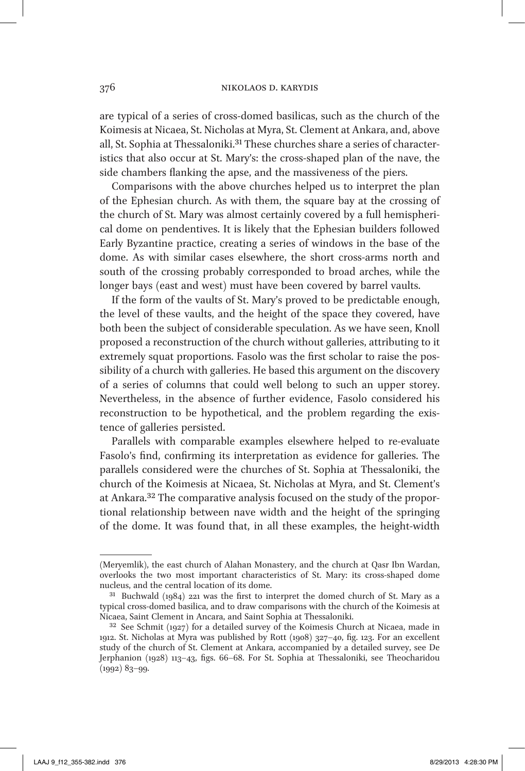are typical of a series of cross-domed basilicas, such as the church of the Koimesis at Nicaea, St. Nicholas at Myra, St. Clement at Ankara, and, above all, St. Sophia at Thessaloniki.<sup>31</sup> These churches share a series of characteristics that also occur at St. Mary's: the cross-shaped plan of the nave, the side chambers flanking the apse, and the massiveness of the piers.

Comparisons with the above churches helped us to interpret the plan of the Ephesian church. As with them, the square bay at the crossing of the church of St. Mary was almost certainly covered by a full hemispherical dome on pendentives. It is likely that the Ephesian builders followed Early Byzantine practice, creating a series of windows in the base of the dome. As with similar cases elsewhere, the short cross-arms north and south of the crossing probably corresponded to broad arches, while the longer bays (east and west) must have been covered by barrel vaults.

If the form of the vaults of St. Mary's proved to be predictable enough, the level of these vaults, and the height of the space they covered, have both been the subject of considerable speculation. As we have seen, Knoll proposed a reconstruction of the church without galleries, attributing to it extremely squat proportions. Fasolo was the first scholar to raise the possibility of a church with galleries. He based this argument on the discovery of a series of columns that could well belong to such an upper storey. Nevertheless, in the absence of further evidence, Fasolo considered his reconstruction to be hypothetical, and the problem regarding the existence of galleries persisted.

Parallels with comparable examples elsewhere helped to re-evaluate Fasolo's find, confirming its interpretation as evidence for galleries. The parallels considered were the churches of St. Sophia at Thessaloniki, the church of the Koimesis at Nicaea, St. Nicholas at Myra, and St. Clement's at Ankara.32 The comparative analysis focused on the study of the proportional relationship between nave width and the height of the springing of the dome. It was found that, in all these examples, the height-width

<sup>(</sup>Meryemlik), the east church of Alahan Monastery, and the church at Qasr Ibn Wardan, overlooks the two most important characteristics of St. Mary: its cross-shaped dome nucleus, and the central location of its dome.

 $31$  Buchwald (1984) 221 was the first to interpret the domed church of St. Mary as a typical cross-domed basilica, and to draw comparisons with the church of the Koimesis at Nicaea, Saint Clement in Ancara, and Saint Sophia at Thessaloniki.

<sup>32</sup> See Schmit (1927) for a detailed survey of the Koimesis Church at Nicaea, made in 1912. St. Nicholas at Myra was published by Rott (1908) 327–40, fig. 123. For an excellent study of the church of St. Clement at Ankara, accompanied by a detailed survey, see De Jerphanion (1928) 113–43, figs. 66–68. For St. Sophia at Thessaloniki, see Theocharidou (1992) 83–99.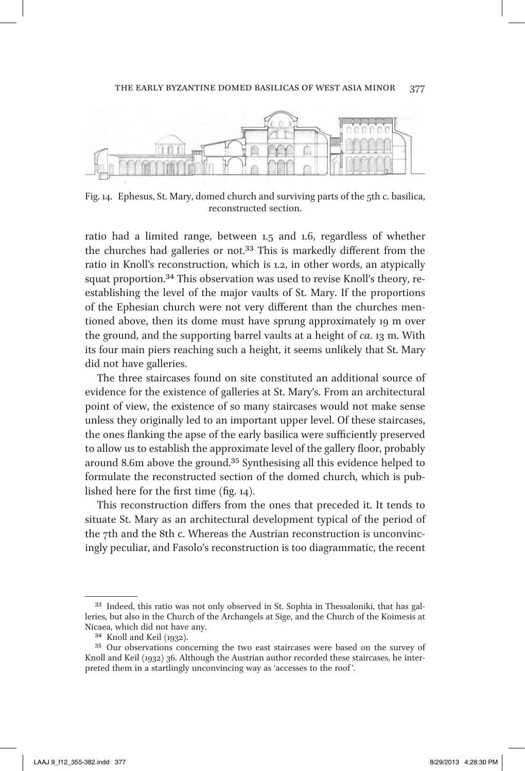

Fig. 14. Ephesus, St. Mary, domed church and surviving parts of the 5th c. basilica, reconstructed section.

ratio had a limited range, between 1.5 and 1.6, regardless of whether the churches had galleries or not.33 This is markedly different from the ratio in Knoll's reconstruction, which is 1.2, in other words, an atypically squat proportion.<sup>34</sup> This observation was used to revise Knoll's theory, reestablishing the level of the major vaults of St. Mary. If the proportions of the Ephesian church were not very different than the churches mentioned above, then its dome must have sprung approximately 19 m over the ground, and the supporting barrel vaults at a height of *ca*. 13 m. With its four main piers reaching such a height, it seems unlikely that St. Mary did not have galleries.

The three staircases found on site constituted an additional source of evidence for the existence of galleries at St. Mary's. From an architectural point of view, the existence of so many staircases would not make sense unless they originally led to an important upper level. Of these staircases, the ones flanking the apse of the early basilica were sufficiently preserved to allow us to establish the approximate level of the gallery floor, probably around 8.6m above the ground.<sup>35</sup> Synthesising all this evidence helped to formulate the reconstructed section of the domed church, which is published here for the first time (fig. 14).

This reconstruction differs from the ones that preceded it. It tends to situate St. Mary as an architectural development typical of the period of the 7th and the 8th c. Whereas the Austrian reconstruction is unconvincingly peculiar, and Fasolo's reconstruction is too diagrammatic, the recent

<sup>33</sup> Indeed, this ratio was not only observed in St. Sophia in Thessaloniki, that has galleries, but also in the Church of the Archangels at Sige, and the Church of the Koimesis at Nicaea, which did not have any.

<sup>34</sup> Knoll and Keil (1932).

<sup>&</sup>lt;sup>35</sup> Our observations concerning the two east staircases were based on the survey of Knoll and Keil (1932) 36. Although the Austrian author recorded these staircases, he interpreted them in a startlingly unconvincing way as 'accesses to the roof '.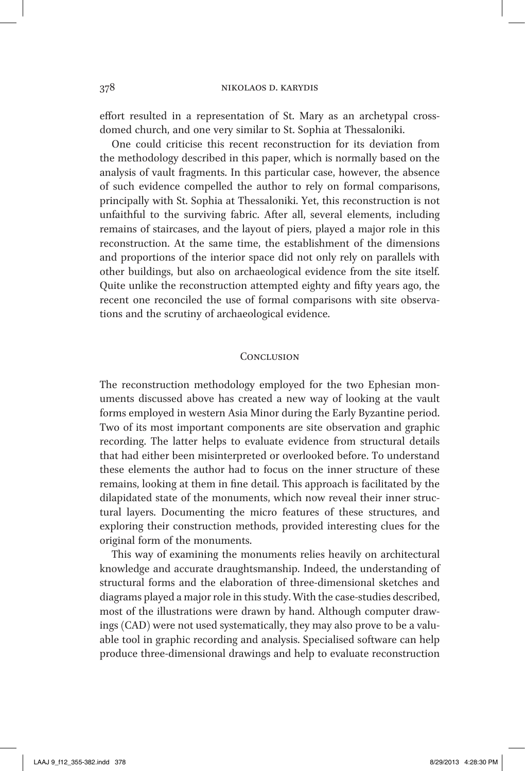effort resulted in a representation of St. Mary as an archetypal crossdomed church, and one very similar to St. Sophia at Thessaloniki.

One could criticise this recent reconstruction for its deviation from the methodology described in this paper, which is normally based on the analysis of vault fragments. In this particular case, however, the absence of such evidence compelled the author to rely on formal comparisons, principally with St. Sophia at Thessaloniki. Yet, this reconstruction is not unfaithful to the surviving fabric. After all, several elements, including remains of staircases, and the layout of piers, played a major role in this reconstruction. At the same time, the establishment of the dimensions and proportions of the interior space did not only rely on parallels with other buildings, but also on archaeological evidence from the site itself. Quite unlike the reconstruction attempted eighty and fifty years ago, the recent one reconciled the use of formal comparisons with site observations and the scrutiny of archaeological evidence.

#### **CONCLUSION**

The reconstruction methodology employed for the two Ephesian monuments discussed above has created a new way of looking at the vault forms employed in western Asia Minor during the Early Byzantine period. Two of its most important components are site observation and graphic recording. The latter helps to evaluate evidence from structural details that had either been misinterpreted or overlooked before. To understand these elements the author had to focus on the inner structure of these remains, looking at them in fine detail. This approach is facilitated by the dilapidated state of the monuments, which now reveal their inner structural layers. Documenting the micro features of these structures, and exploring their construction methods, provided interesting clues for the original form of the monuments.

This way of examining the monuments relies heavily on architectural knowledge and accurate draughtsmanship. Indeed, the understanding of structural forms and the elaboration of three-dimensional sketches and diagrams played a major role in this study. With the case-studies described, most of the illustrations were drawn by hand. Although computer drawings (CAD) were not used systematically, they may also prove to be a valuable tool in graphic recording and analysis. Specialised software can help produce three-dimensional drawings and help to evaluate reconstruction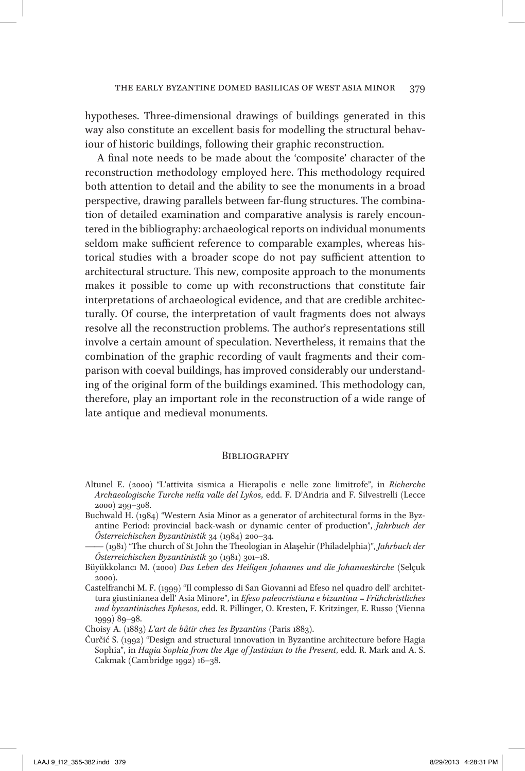hypotheses. Three-dimensional drawings of buildings generated in this way also constitute an excellent basis for modelling the structural behaviour of historic buildings, following their graphic reconstruction.

A final note needs to be made about the 'composite' character of the reconstruction methodology employed here. This methodology required both attention to detail and the ability to see the monuments in a broad perspective, drawing parallels between far-flung structures. The combination of detailed examination and comparative analysis is rarely encountered in the bibliography: archaeological reports on individual monuments seldom make sufficient reference to comparable examples, whereas historical studies with a broader scope do not pay sufficient attention to architectural structure. This new, composite approach to the monuments makes it possible to come up with reconstructions that constitute fair interpretations of archaeological evidence, and that are credible architecturally. Of course, the interpretation of vault fragments does not always resolve all the reconstruction problems. The author's representations still involve a certain amount of speculation. Nevertheless, it remains that the combination of the graphic recording of vault fragments and their comparison with coeval buildings, has improved considerably our understanding of the original form of the buildings examined. This methodology can, therefore, play an important role in the reconstruction of a wide range of late antique and medieval monuments.

#### **BIBLIOGRAPHY**

- Altunel E. (2000) "L'attivita sismica a Hierapolis e nelle zone limitrofe", in *Richerche Archaeologische Turche nella valle del Lykos*, edd. F. D'Andria and F. Silvestrelli (Lecce 2000) 299–308.
- Buchwald H. (1984) "Western Asia Minor as a generator of architectural forms in the Byzantine Period: provincial back-wash or dynamic center of production", *Jahrbuch der Österreichischen Byzantinistik* 34 (1984) 200–34.
- —— (1981) "The church of St John the Theologian in Alaşehir (Philadelphia)", *Jahrbuch der Österreichischen Byzantinistik* 30 (1981) 301–18.
- Büyükkolancı M. (2000) *Das Leben des Heiligen Johannes und die Johanneskirche* (Selçuk 2000).
- Castelfranchi M. F. (1999) "Il complesso di San Giovanni ad Efeso nel quadro dell' architettura giustinianea dell' Asia Minore", in *Efeso paleocristiana e bizantina = Frühchristliches und byzantinisches Ephesos*, edd. R. Pillinger, O. Kresten, F. Kritzinger, E. Russo (Vienna 1999) 89–98.

Choisy A. (1883) *L'art de bâtir chez les Byzantins* (Paris 1883).

Ćurčić S. (1992) "Design and structural innovation in Byzantine architecture before Hagia Sophia", in *Hagia Sophia from the Age of Justinian to the Present*, edd. R. Mark and A. S. Cakmak (Cambridge 1992) 16–38.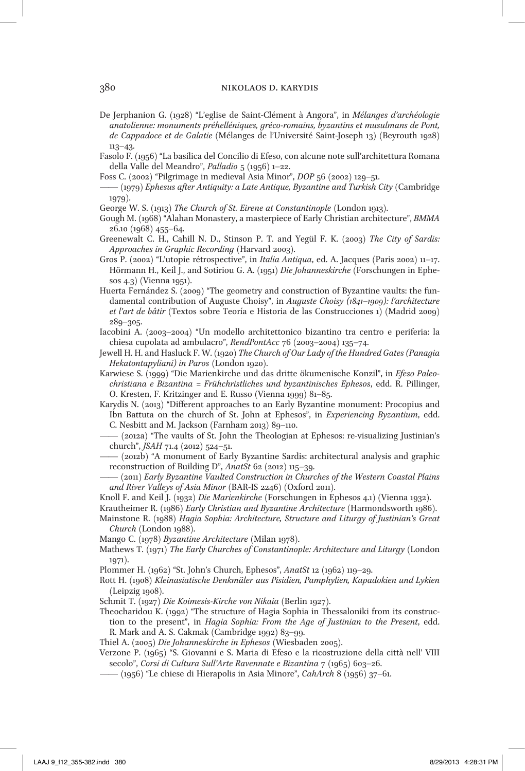De Jerphanion G. (1928) "L'eglise de Saint-Clément à Angora", in *Mélanges d'archéologie anatolienne: monuments préhelléniques, gréco-romains, byzantins et musulmans de Pont, de Cappadoce et de Galatie* (Mélanges de l'Université Saint-Joseph 13) (Beyrouth 1928) 113–43.

Fasolo F. (1956) "La basilica del Concilio di Efeso, con alcune note sull'architettura Romana della Valle del Meandro", *Palladio* 5 (1956) 1–22.

Foss C. (2002) "Pilgrimage in medieval Asia Minor", *DOP* 56 (2002) 129–51.

—— (1979) *Ephesus after Antiquity: a Late Antique, Byzantine and Turkish City* (Cambridge 1979).

George W. S. (1913) *The Church of St. Eirene at Constantinople* (London 1913).

- Gough M. (1968) "Alahan Monastery, a masterpiece of Early Christian architecture", *BMMA* 26.10 (1968) 455–64.
- Greenewalt C. H., Cahill N. D., Stinson P. T. and Yegül F. K. (2003) *The City of Sardis: Approaches in Graphic Recording* (Harvard 2003).
- Gros P. (2002) "L'utopie rétrospective", in *Italia Antiqua*, ed. A. Jacques (Paris 2002) 11–17. Hörmann H., Keil J., and Sotiriou G. A. (1951) *Die Johanneskirche* (Forschungen in Ephesos 4.3) (Vienna 1951).
- Huerta Fernández S. (2009) "The geometry and construction of Byzantine vaults: the fundamental contribution of Auguste Choisy", in *Auguste Choisy* (*1841–1909*)*: l'architecture et l'art de bâtir* (Textos sobre Teoría e Historia de las Construcciones 1) (Madrid 2009) 289–305.
- Iacobini A. (2003–2004) "Un modello architettonico bizantino tra centro e periferia: la chiesa cupolata ad ambulacro", *RendPontAcc* 76 (2003–2004) 135–74.
- Jewell H. H. and Hasluck F. W. (1920) *The Church of Our Lady of the Hundred Gates* (*Panagia Hekatontapyliani*) *in Paros* (London 1920).
- Karwiese S. (1999) "Die Marienkirche und das dritte ökumenische Konzil", in *Efeso Paleochristiana e Bizantina = Frühchristliches und byzantinisches Ephesos*, edd. R. Pillinger, O. Kresten, F. Kritzinger and E. Russo (Vienna 1999) 81–85.
- Karydis N. (2013) "Different approaches to an Early Byzantine monument: Procopius and Ibn Battuta on the church of St. John at Ephesos", in *Experiencing Byzantium*, edd. C. Nesbitt and M. Jackson (Farnham 2013) 89–110.
- (2012a) "The vaults of St. John the Theologian at Ephesos: re-visualizing Justinian's church", *JSAH* 71.4 (2012) 524–51.
- (2012b) "A monument of Early Byzantine Sardis: architectural analysis and graphic reconstruction of Building D", *AnatSt* 62 (2012) 115–39.
- —— (2011) *Early Byzantine Vaulted Construction in Churches of the Western Coastal Plains and River Valleys of Asia Minor* (BAR-IS 2246) (Oxford 2011).

Knoll F. and Keil J. (1932) *Die Marienkirche* (Forschungen in Ephesos 4.1) (Vienna 1932).

Krautheimer R. (1986) *Early Christian and Byzantine Architecture* (Harmondsworth 1986).

Mainstone R. (1988) *Hagia Sophia: Architecture, Structure and Liturgy of Justinian's Great Church* (London 1988).

Mango C. (1978) *Byzantine Architecture* (Milan 1978).

- Mathews T. (1971) *The Early Churches of Constantinople: Architecture and Liturgy* (London 1971).
- Plommer H. (1962) "St. John's Church, Ephesos", *AnatSt* 12 (1962) 119–29.
- Rott H. (1908) *Kleinasiatische Denkmäler aus Pisidien, Pamphylien, Kapadokien und Lykien* (Leipzig 1908).
- Schmit T. (1927) *Die Koimesis-Kirche von Nikaia* (Berlin 1927).
- Theocharidou K. (1992) "The structure of Hagia Sophia in Thessaloniki from its construction to the present", in *Hagia Sophia: From the Age of Justinian to the Present*, edd. R. Mark and A. S. Cakmak (Cambridge 1992) 83–99.
- Thiel A. (2005) *Die Johanneskirche in Ephesos* (Wiesbaden 2005).

Verzone P. (1965) "S. Giovanni e S. Maria di Efeso e la ricostruzione della città nell' VIII secolo", *Corsi di Cultura Sull'Arte Ravennate e Bizantina* 7 (1965) 603–26.

—— (1956) "Le chiese di Hierapolis in Asia Minore", *CahArch* 8 (1956) 37–61.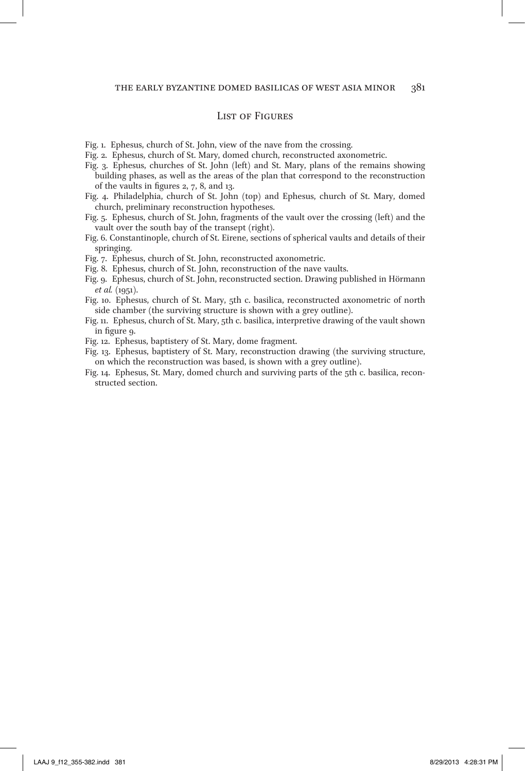#### LIST OF FIGURES

Fig. 1. Ephesus, church of St. John, view of the nave from the crossing.

Fig. 2. Ephesus, church of St. Mary, domed church, reconstructed axonometric.

- Fig. 3. Ephesus, churches of St. John (left) and St. Mary, plans of the remains showing building phases, as well as the areas of the plan that correspond to the reconstruction of the vaults in figures 2, 7, 8, and 13.
- Fig. 4. Philadelphia, church of St. John (top) and Ephesus, church of St. Mary, domed church, preliminary reconstruction hypotheses.
- Fig. 5. Ephesus, church of St. John, fragments of the vault over the crossing (left) and the vault over the south bay of the transept (right).

Fig. 6. Constantinople, church of St. Eirene, sections of spherical vaults and details of their springing.

Fig. 7. Ephesus, church of St. John, reconstructed axonometric.

- Fig. 8. Ephesus, church of St. John, reconstruction of the nave vaults.
- Fig. 9. Ephesus, church of St. John, reconstructed section. Drawing published in Hörmann *et al.* (1951).
- Fig. 10. Ephesus, church of St. Mary, 5th c. basilica, reconstructed axonometric of north side chamber (the surviving structure is shown with a grey outline).
- Fig. 11. Ephesus, church of St. Mary, 5th c. basilica, interpretive drawing of the vault shown in figure 9.
- Fig. 12. Ephesus, baptistery of St. Mary, dome fragment.
- Fig. 13. Ephesus, baptistery of St. Mary, reconstruction drawing (the surviving structure, on which the reconstruction was based, is shown with a grey outline).
- Fig. 14. Ephesus, St. Mary, domed church and surviving parts of the 5th c. basilica, reconstructed section.